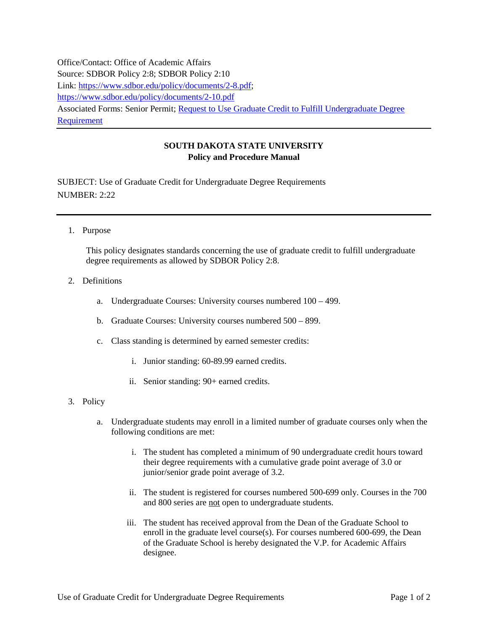Office/Contact: Office of Academic Affairs Source: SDBOR Policy 2:8; SDBOR Policy 2:10 Link: [https://www.sdbor.edu/policy/documents/2-8.pdf;](https://www.sdbor.edu/policy/documents/2-8.pdf) <https://www.sdbor.edu/policy/documents/2-10.pdf> Associated Forms: Senior Permit; [Request to Use Graduate Credit to Fulfill Undergraduate Degree](http://www.sdstate.edu/policies/appendix/Forms/upload/Request-to-Use-GC-to-Fulfill-UG-Degree-Requirement.pdf)  [Requirement](http://www.sdstate.edu/policies/appendix/Forms/upload/Request-to-Use-GC-to-Fulfill-UG-Degree-Requirement.pdf)

## **SOUTH DAKOTA STATE UNIVERSITY Policy and Procedure Manual**

SUBJECT: Use of Graduate Credit for Undergraduate Degree Requirements NUMBER: 2:22

1. Purpose

This policy designates standards concerning the use of graduate credit to fulfill undergraduate degree requirements as allowed by SDBOR Policy 2:8.

- 2. Definitions
	- a. Undergraduate Courses: University courses numbered 100 499.
	- b. Graduate Courses: University courses numbered 500 899.
	- c. Class standing is determined by earned semester credits:
		- i. Junior standing: 60-89.99 earned credits.
		- ii. Senior standing: 90+ earned credits.
- 3. Policy
	- a. Undergraduate students may enroll in a limited number of graduate courses only when the following conditions are met:
		- i. The student has completed a minimum of 90 undergraduate credit hours toward their degree requirements with a cumulative grade point average of 3.0 or junior/senior grade point average of 3.2.
		- ii. The student is registered for courses numbered 500-699 only. Courses in the 700 and 800 series are not open to undergraduate students.
		- iii. The student has received approval from the Dean of the Graduate School to enroll in the graduate level course(s). For courses numbered 600-699, the Dean of the Graduate School is hereby designated the V.P. for Academic Affairs designee.